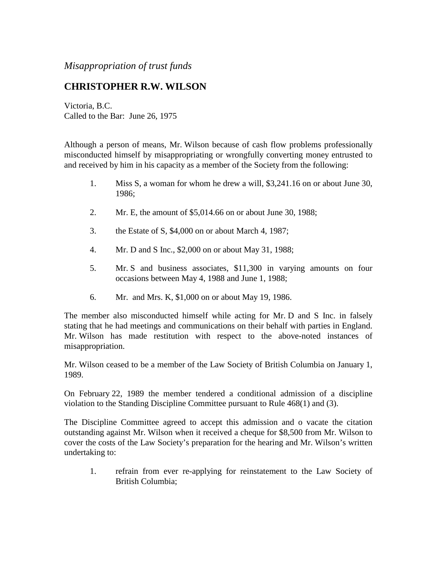*Misappropriation of trust funds*

## **CHRISTOPHER R.W. WILSON**

Victoria, B.C. Called to the Bar: June 26, 1975

Although a person of means, Mr. Wilson because of cash flow problems professionally misconducted himself by misappropriating or wrongfully converting money entrusted to and received by him in his capacity as a member of the Society from the following:

- 1. Miss S, a woman for whom he drew a will, \$3,241.16 on or about June 30, 1986;
- 2. Mr. E, the amount of \$5,014.66 on or about June 30, 1988;
- 3. the Estate of S, \$4,000 on or about March 4, 1987;
- 4. Mr. D and S Inc., \$2,000 on or about May 31, 1988;
- 5. Mr. S and business associates, \$11,300 in varying amounts on four occasions between May 4, 1988 and June 1, 1988;
- 6. Mr. and Mrs. K, \$1,000 on or about May 19, 1986.

The member also misconducted himself while acting for Mr. D and S Inc. in falsely stating that he had meetings and communications on their behalf with parties in England. Mr. Wilson has made restitution with respect to the above-noted instances of misappropriation.

Mr. Wilson ceased to be a member of the Law Society of British Columbia on January 1, 1989.

On February 22, 1989 the member tendered a conditional admission of a discipline violation to the Standing Discipline Committee pursuant to Rule 468(1) and (3).

The Discipline Committee agreed to accept this admission and o vacate the citation outstanding against Mr. Wilson when it received a cheque for \$8,500 from Mr. Wilson to cover the costs of the Law Society's preparation for the hearing and Mr. Wilson's written undertaking to:

1. refrain from ever re-applying for reinstatement to the Law Society of British Columbia;